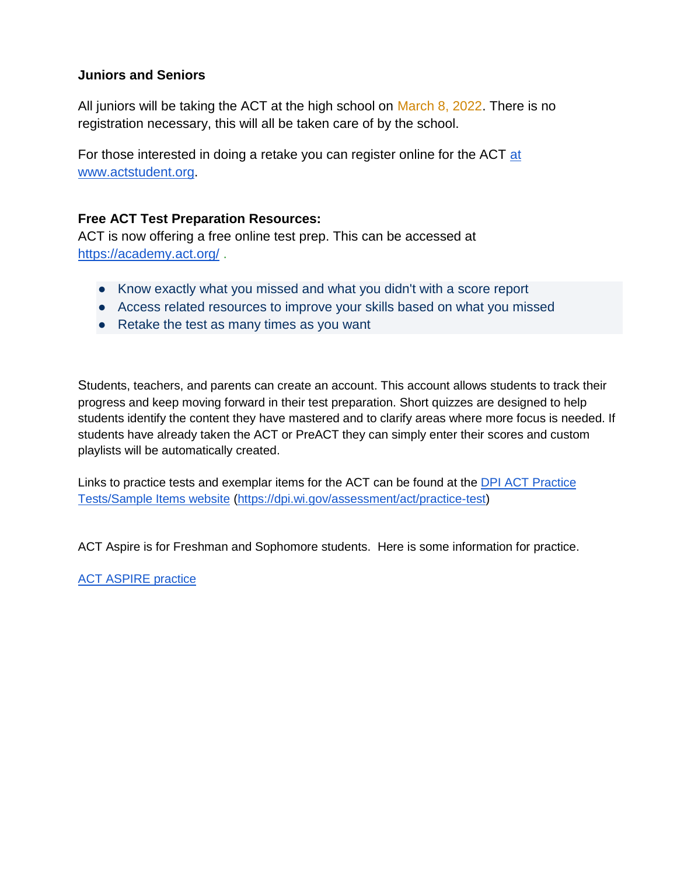### **Juniors and Seniors**

All juniors will be taking the ACT at the high school on March 8, 2022. There is no registration necessary, this will all be taken care of by the school.

For those interested in doing a retake you can register online for the ACT at [www.actstudent.org.](http://www.actstudent.org/)

### **Free ACT Test Preparation Resources:**

ACT is now offering a free online test prep. This can be accessed at <https://academy.act.org/>.

- Know exactly what you missed and what you didn't with a score report
- Access related resources to improve your skills based on what you missed
- Retake the test as many times as you want

Students, teachers, and parents can create an account. This account allows students to track their progress and keep moving forward in their test preparation. Short quizzes are designed to help students identify the content they have mastered and to clarify areas where more focus is needed. If students have already taken the ACT or PreACT they can simply enter their scores and custom playlists will be automatically created.

Links to practice tests and exemplar items for the ACT can be found at th[e](https://dpi.wi.gov/assessment/act/practice-test) [DPI ACT Practice](https://dpi.wi.gov/assessment/act/practice-test)  [Tests/Sample Items website](https://dpi.wi.gov/assessment/act/practice-test) [\(https://dpi.wi.gov/assessment/act/practice-test\)](https://dpi.wi.gov/assessment/act/practice-test)

ACT Aspire is for Freshman and Sophomore students. Here is some information for practice.

[ACT ASPIRE practice](https://www.act.org/content/act/en/products-and-services/act-aspire/about-act-aspire/exemplar-items.html)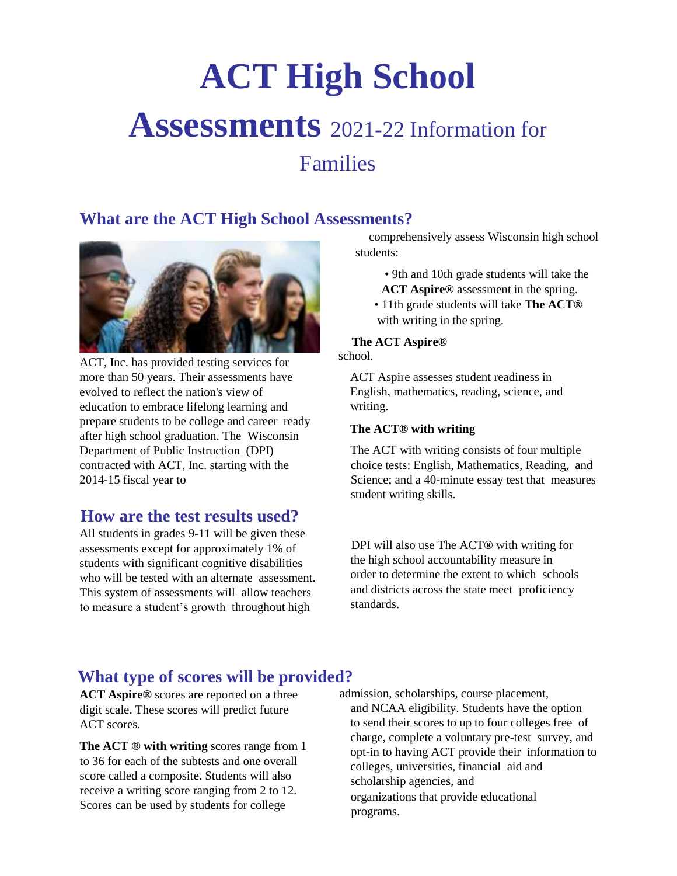# **ACT High School Assessments** 2021-22 Information for Families

### **What are the ACT High School Assessments?**



ACT, Inc. has provided testing services for more than 50 years. Their assessments have evolved to reflect the nation's view of education to embrace lifelong learning and prepare students to be college and career ready after high school graduation. The Wisconsin Department of Public Instruction (DPI) contracted with ACT, Inc. starting with the 2014-15 fiscal year to

### **How are the test results used?**

All students in grades 9-11 will be given these assessments except for approximately 1% of students with significant cognitive disabilities who will be tested with an alternate assessment. This system of assessments will allow teachers to measure a student's growth throughout high

comprehensively assess Wisconsin high school students:

• 9th and 10th grade students will take the

**ACT Aspire®** assessment in the spring. • 11th grade students will take **The ACT®**  with writing in the spring.

#### **The ACT Aspire®**

school.

ACT Aspire assesses student readiness in English, mathematics, reading, science, and writing.

#### **The ACT® with writing**

The ACT with writing consists of four multiple choice tests: English, Mathematics, Reading, and Science; and a 40-minute essay test that measures student writing skills.

DPI will also use The ACT**®** with writing for the high school accountability measure in order to determine the extent to which schools and districts across the state meet proficiency standards.

### **What type of scores will be provided?**

**ACT Aspire®** scores are reported on a three digit scale. These scores will predict future ACT scores.

**The ACT ® with writing** scores range from 1 to 36 for each of the subtests and one overall score called a composite. Students will also receive a writing score ranging from 2 to 12. Scores can be used by students for college

admission, scholarships, course placement, and NCAA eligibility. Students have the option to send their scores to up to four colleges free of charge, complete a voluntary pre-test survey, and opt-in to having ACT provide their information to colleges, universities, financial aid and scholarship agencies, and organizations that provide educational programs.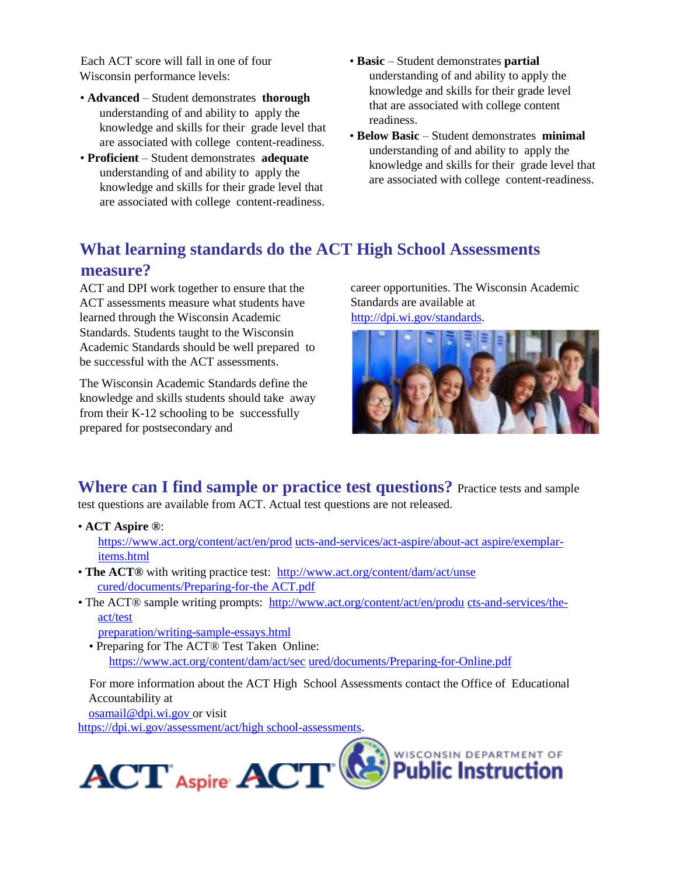Each ACT score will fall in one of four Wisconsin performance levels:

- **Advanced**  Student demonstrates **thorough**  understanding of and ability to apply the knowledge and skills for their grade level that are associated with college content-readiness.
- **Proficient**  Student demonstrates **adequate**  understanding of and ability to apply the knowledge and skills for their grade level that are associated with college content-readiness.
- **Basic**  Student demonstrates **partial**  understanding of and ability to apply the knowledge and skills for their grade level that are associated with college content readiness.
- **Below Basic**  Student demonstrates **minimal**  understanding of and ability to apply the knowledge and skills for their grade level that are associated with college content-readiness.

### **What learning standards do the ACT High School Assessments measure?**

ACT and DPI work together to ensure that the ACT assessments measure what students have learned through the Wisconsin Academic Standards. Students taught to the Wisconsin Academic Standards should be well prepared to be successful with the ACT assessments.

The Wisconsin Academic Standards define the knowledge and skills students should take away from their K-12 schooling to be successfully prepared for postsecondary and

career opportunities. The Wisconsin Academic Standards are available at http://dpi.wi.gov/standards.



**Where can I find sample or practice test questions?** Practice tests and sample test questions are available from ACT. Actual test questions are not released.

- **ACT Aspire ®**: https://www.act.org/content/act/en/prod ucts-and-services/act-aspire/about-act aspire/exemplaritems.html
- **The ACT®** with writing practice test: http://www.act.org/content/dam/act/unse cured/documents/Preparing-for-the ACT.pdf
- The ACT® sample writing prompts: http://www.act.org/content/act/en/produ cts-and-services/theact/test

preparation/writing-sample-essays.html

• Preparing for The ACT® Test Taken Online: https://www.act.org/content/dam/act/sec ured/documents/Preparing-for-Online.pdf

For more information about the ACT High School Assessments contact the Office of Educational Accountability at

osamail@dpi.wi.gov or visit https://dpi.wi.gov/assessment/act/high school-assessments.

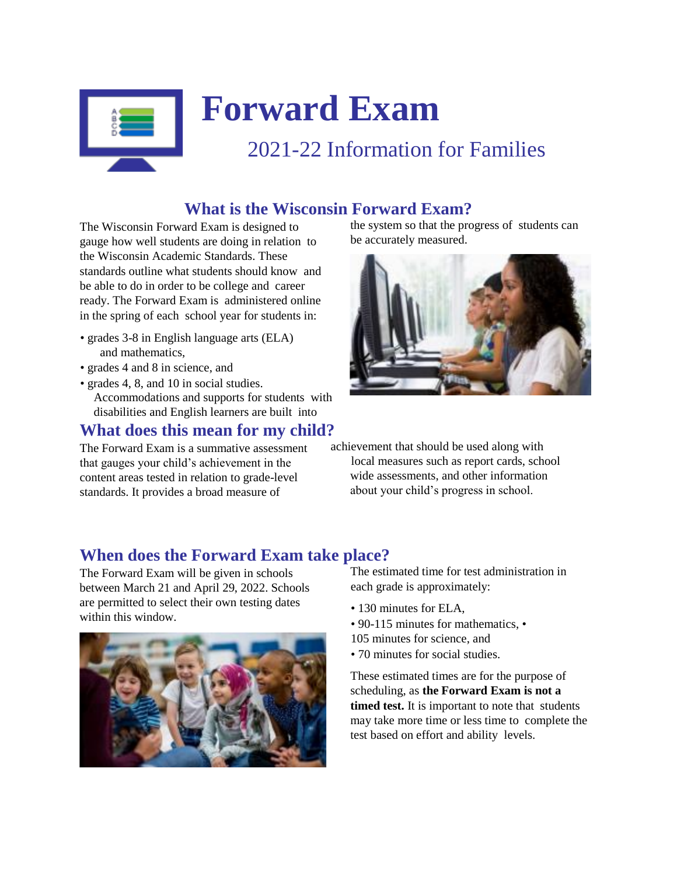

# **Forward Exam**

# 2021-22 Information for Families

# **What is the Wisconsin Forward Exam?**

The Wisconsin Forward Exam is designed to gauge how well students are doing in relation to the Wisconsin Academic Standards. These standards outline what students should know and be able to do in order to be college and career ready. The Forward Exam is administered online in the spring of each school year for students in:

- grades 3-8 in English language arts (ELA) and mathematics,
- grades 4 and 8 in science, and
- grades 4, 8, and 10 in social studies. Accommodations and supports for students with disabilities and English learners are built into

### **What does this mean for my child?**

The Forward Exam is a summative assessment that gauges your child's achievement in the content areas tested in relation to grade-level standards. It provides a broad measure of

the system so that the progress of students can be accurately measured.



achievement that should be used along with local measures such as report cards, school wide assessments, and other information about your child's progress in school.

## **When does the Forward Exam take place?**

The Forward Exam will be given in schools between March 21 and April 29, 2022. Schools are permitted to select their own testing dates within this window.



The estimated time for test administration in each grade is approximately:

- 130 minutes for ELA,
- 90-115 minutes for mathematics. •
- 105 minutes for science, and
- 70 minutes for social studies.

These estimated times are for the purpose of scheduling, as **the Forward Exam is not a timed test.** It is important to note that students may take more time or less time to complete the test based on effort and ability levels.